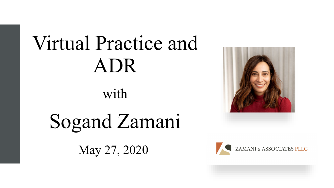# Virtual Practice and ADR

with

Sogand Zamani

May 27, 2020



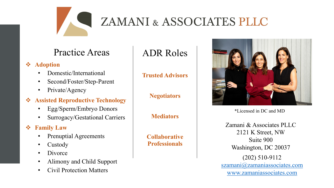

# ZAMANI & ASSOCIATES PLLC

### Practice Areas

#### *❖* Adoption

- Domestic/International
- Second/Foster/Step-Parent
- Private/Agency

#### **Assisted Reproductive Technology**

- Egg/Sperm/Embryo Donors
- Surrogacy/Gestational Carriers

#### **Family Law**

- Prenuptial Agreements
- Custody
- Divorce
- Alimony and Child Support
- Civil Protection Matters

### ADR Roles

#### **Trusted Advisors**

**Negotiators** 

**Mediators**

**Collaborative Professionals**



\*Licensed in DC and MD

(202) 510-9112 [szamani@zamaniassociates.com](mailto:szamani@zamaniassociates.com) [www.zamaniassociates.com](https://www.zamaniassociates.com/) Zamani & Associates PLLC 2121 K Street, NW Suite 900 Washington, DC 20037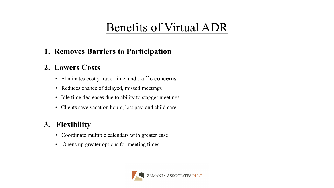# Benefits of Virtual ADR

#### **1. Removes Barriers to Participation**

#### **2. Lowers Costs**

- Eliminates costly travel time, and traffic concerns
- Reduces chance of delayed, missed meetings
- Idle time decreases due to ability to stagger meetings
- Clients save vacation hours, lost pay, and child care

#### **3. Flexibility**

- Coordinate multiple calendars with greater ease
- Opens up greater options for meeting times

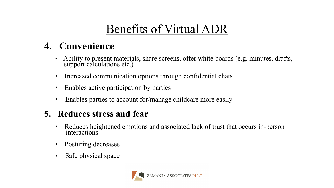## Benefits of Virtual ADR

### **4. Convenience**

- Ability to present materials, share screens, offer white boards (e.g. minutes, drafts, support calculations etc.)
- Increased communication options through confidential chats
- Enables active participation by parties
- Enables parties to account for/manage childcare more easily

### **5. Reduces stress and fear**

- Reduces heightened emotions and associated lack of trust that occurs in-person interactions
- Posturing decreases
- Safe physical space

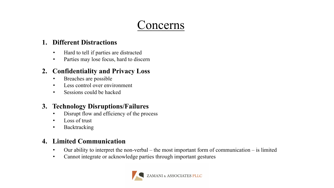### Concerns

#### **1. Different Distractions**

- Hard to tell if parties are distracted
- Parties may lose focus, hard to discern

#### **2. Confidentiality and Privacy Loss**

- Breaches are possible
- Less control over environment
- Sessions could be hacked

#### **3. Technology Disruptions/Failures**

- Disrupt flow and efficiency of the process
- Loss of trust
- Backtracking

#### **4. Limited Communication**

- Our ability to interpret the non-verbal the most important form of communication is limited
- Cannot integrate or acknowledge parties through important gestures

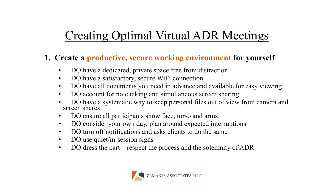#### **1. Create a productive, secure working environment for yourself**

- DO have a dedicated, private space free from distraction
- DO have a satisfactory, secure WiFi connection
- DO have all documents you need in advance and available for easy viewing
- DO account for note taking and simultaneous screen sharing
- DO have a systematic way to keep personal files out of view from camera and screen shares
- DO ensure all participants show face, torso and arms
- DO consider your own day, plan around expected interruptions
- DO turn off notifications and asks clients to do the same
- DO use quiet/in-session signs
- DO dress the part respect the process and the solemnity of ADR

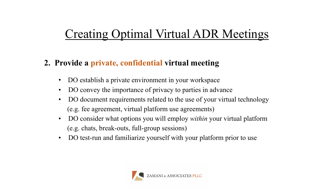#### **2. Provide a private, confidential virtual meeting**

- DO establish a private environment in your workspace
- DO convey the importance of privacy to parties in advance
- DO document requirements related to the use of your virtual technology (e.g. fee agreement, virtual platform use agreements)
- DO consider what options you will employ *within* your virtual platform (e.g. chats, break-outs, full-group sessions)
- DO test-run and familiarize yourself with your platform prior to use

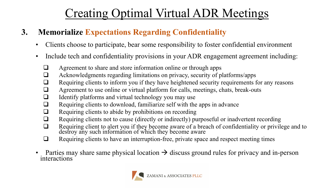### **3. Memorialize Expectations Regarding Confidentiality**

- Clients choose to participate, bear some responsibility to foster confidential environment
- Include tech and confidentiality provisions in your ADR engagement agreement including:
	- **Agreement to share and store information online or through apps**
	- Acknowledgments regarding limitations on privacy, security of platforms/apps
	- Requiring clients to inform you if they have heightened security requirements for any reasons
	- $\Box$  Agreement to use online or virtual platform for calls, meetings, chats, break-outs
	- $\Box$  Identify platforms and virtual technology you may use
	- $\Box$  Requiring clients to download, familiarize self with the apps in advance
	- $\Box$  Requiring clients to abide by prohibitions on recording
	- Requiring clients not to cause (directly or indirectly) purposeful or inadvertent recording
	- □ Requiring client to alert you if they become aware of a breach of confidentiality or privilege and to destroy any such information of which they become aware
	- $\Box$  Requiring clients to have an interruption-free, private space and respect meeting times
- Parties may share same physical location  $\rightarrow$  discuss ground rules for privacy and in-person interactions

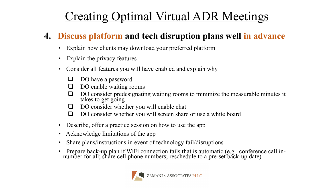### **4. Discuss platform and tech disruption plans well in advance**

- Explain how clients may download your preferred platform
- Explain the privacy features
- Consider all features you will have enabled and explain why
	- **DO** have a password
	- $\Box$  DO enable waiting rooms
	- DO consider predesignating waiting rooms to minimize the measurable minutes it takes to get going
	- □ DO consider whether you will enable chat
	- DO consider whether you will screen share or use a white board
- Describe, offer a practice session on how to use the app
- Acknowledge limitations of the app
- Share plans/instructions in event of technology fail/disruptions
- Prepare back-up plan if WiFi connection fails that is automatic (e.g. conference call in- number for all; share cell phone numbers; reschedule to a pre-set back-up date)

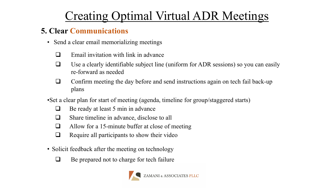#### **5. Clear Communications**

- Send a clear email memorializing meetings
	- $\Box$  Email invitation with link in advance
	- $\Box$  Use a clearly identifiable subject line (uniform for ADR sessions) so you can easily re-forward as needed
	- □ Confirm meeting the day before and send instructions again on tech fail back-up plans
- •Set a clear plan for start of meeting (agenda, timeline for group/staggered starts)
	- $\Box$  Be ready at least 5 min in advance
	- □ Share timeline in advance, disclose to all
	- $\Box$  Allow for a 15-minute buffer at close of meeting
	- $\Box$  Require all participants to show their video
- Solicit feedback after the meeting on technology
	- $\Box$  Be prepared not to charge for tech failure

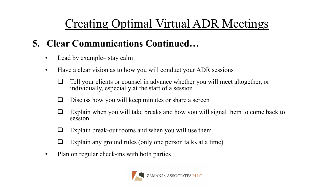### **5. Clear Communications Continued…**

- Lead by example— stay calm
- Have a clear vision as to how you will conduct your ADR sessions
	- $\Box$  Tell your clients or counsel in advance whether you will meet altogether, or individually, especially at the start of a session
	- $\Box$  Discuss how you will keep minutes or share a screen
	- $\Box$  Explain when you will take breaks and how you will signal them to come back to session
	- $\Box$  Explain break-out rooms and when you will use them
	- $\Box$  Explain any ground rules (only one person talks at a time)
- Plan on regular check-ins with both parties

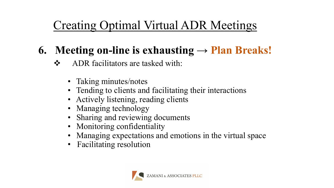### **6.** Meeting on-line is exhausting  $\rightarrow$  **Plan Breaks!**

- ADR facilitators are tasked with:
	- Taking minutes/notes
	- Tending to clients and facilitating their interactions
	- Actively listening, reading clients
	- Managing technology
	- Sharing and reviewing documents
	- Monitoring confidentiality
	- Managing expectations and emotions in the virtual space
	- Facilitating resolution